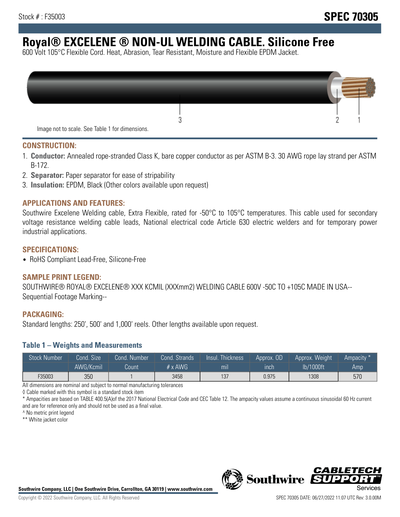# **Royal® EXCELENE ® NON-UL WELDING CABLE. Silicone Free**

600 Volt 105°C Flexible Cord. Heat, Abrasion, Tear Resistant, Moisture and Flexible EPDM Jacket.

| Image not to scale. See Table 1 for dimensions. |  |
|-------------------------------------------------|--|

#### **CONSTRUCTION:**

- 1. **Conductor:** Annealed rope-stranded Class K, bare copper conductor as per ASTM B-3. 30 AWG rope lay strand per ASTM B-172.
- 2. **Separator:** Paper separator for ease of stripability
- 3. **Insulation:** EPDM, Black (Other colors available upon request)

### **APPLICATIONS AND FEATURES:**

Southwire Excelene Welding cable, Extra Flexible, rated for -50°C to 105°C temperatures. This cable used for secondary voltage resistance welding cable leads, National electrical code Article 630 electric welders and for temporary power industrial applications.

#### **SPECIFICATIONS:**

• RoHS Compliant Lead-Free, Silicone-Free

#### **SAMPLE PRINT LEGEND:**

SOUTHWIRE® ROYAL® EXCELENE® XXX KCMIL (XXXmm2) WELDING CABLE 600V -50C TO +105C MADE IN USA-- Sequential Footage Marking--

#### **PACKAGING:**

Standard lengths: 250', 500' and 1,000' reels. Other lengths available upon request.

#### **Table 1 – Weights and Measurements**

| <b>Stock Number</b> | Cond. Size | Cond. Number | Cond. Strands  | Insul. Thickness | Approx. OD | Approx. Weight | "Ampacity" |
|---------------------|------------|--------------|----------------|------------------|------------|----------------|------------|
|                     | AWG/Kcmil  | Count        | # $\times$ AWG | mı               | inch       | lb/1000ft      | Amp        |
| F35003              | 350        |              | 3458           | 137              | 0.975      | 1308           | 570        |

All dimensions are nominal and subject to normal manufacturing tolerances

◊ Cable marked with this symbol is a standard stock item

\* Ampacities are based on TABLE 400.5(A)of the 2017 National Electrical Code and CEC Table 12. The ampacity values assume a continuous sinusoidal 60 Hz current and are for reference only and should not be used as a final value.

^ No metric print legend

\*\* White jacket color





*CABLE*